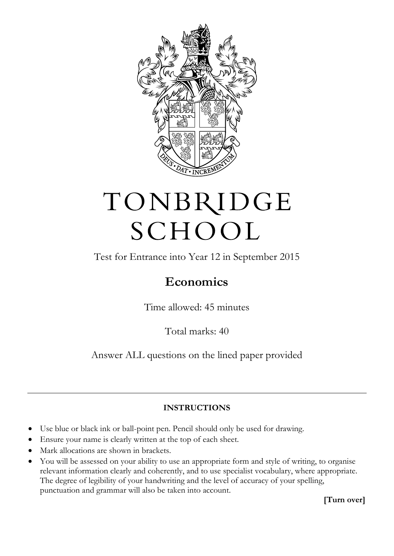

## TONBRIDGE SCHOOL

Test for Entrance into Year 12 in September 2015

## **Economics**

Time allowed: 45 minutes

Total marks: 40

Answer ALL questions on the lined paper provided

## **INSTRUCTIONS**

- Use blue or black ink or ball-point pen. Pencil should only be used for drawing.
- Ensure your name is clearly written at the top of each sheet.
- Mark allocations are shown in brackets.
- You will be assessed on your ability to use an appropriate form and style of writing, to organise relevant information clearly and coherently, and to use specialist vocabulary, where appropriate. The degree of legibility of your handwriting and the level of accuracy of your spelling, punctuation and grammar will also be taken into account.

**[Turn over]**